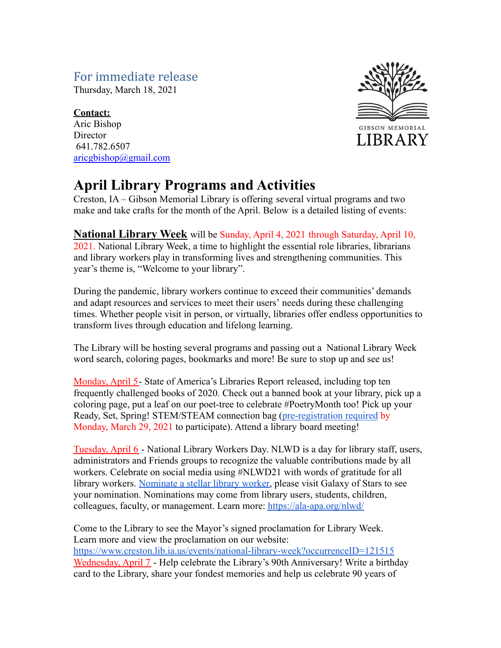## For immediate release

Thursday, March 18, 2021

### **Contact:**

Aric Bishop **Director** 641.782.6507 [aricgbishop@gmail.com](mailto:aricgbishop@gmail.com)



# **April Library Programs and Activities**

Creston, IA – Gibson Memorial Library is offering several virtual programs and two make and take crafts for the month of the April. Below is a detailed listing of events:

## **National Library Week** will be Sunday, April 4, 2021 through Saturday, April 10,

2021. National Library Week, a time to highlight the essential role libraries, librarians and library workers play in transforming lives and strengthening communities. This year's theme is, "Welcome to your library".

During the pandemic, library workers continue to exceed their communities' demands and adapt resources and services to meet their users' needs during these challenging times. Whether people visit in person, or virtually, libraries offer endless opportunities to transform lives through education and lifelong learning.

The Library will be hosting several programs and passing out a National Library Week word search, coloring pages, bookmarks and more! Be sure to stop up and see us!

Monday, April 5- State of America's Libraries Report released, including top ten frequently challenged books of 2020. Check out a banned book at your library, pick up a coloring page, put a leaf on our poet-tree to celebrate #PoetryMonth too! Pick up your Ready, Set, Spring! STEM/STEAM connection bag [\(pre-registration](https://www.creston.lib.ia.us/application/files/3016/1350/7682/Spring_Stem_Connection_Form.pdf) required by Monday, March 29, 2021 to participate). Attend a library board meeting!

Tuesday, April 6 - National Library Workers Day. NLWD is a day for library staff, users, administrators and Friends groups to recognize the valuable contributions made by all workers. Celebrate on social media using #NLWD21 with words of gratitude for all library workers. [Nominate a stellar library worker,](https://www.surveymonkey.com/r/SubmitAStarforNLWD) please visit Galaxy of Stars to see your nomination. Nominations may come from library users, students, children, colleagues, faculty, or management. Learn more: <https://ala-apa.org/nlwd/>

Come to the Library to see the Mayor's signed proclamation for Library Week. Learn more and view the proclamation on our website: <https://www.creston.lib.ia.us/events/national-library-week?occurrenceID=121515> Wednesday, April 7 - Help celebrate the Library's 90th Anniversary! Write a birthday card to the Library, share your fondest memories and help us celebrate 90 years of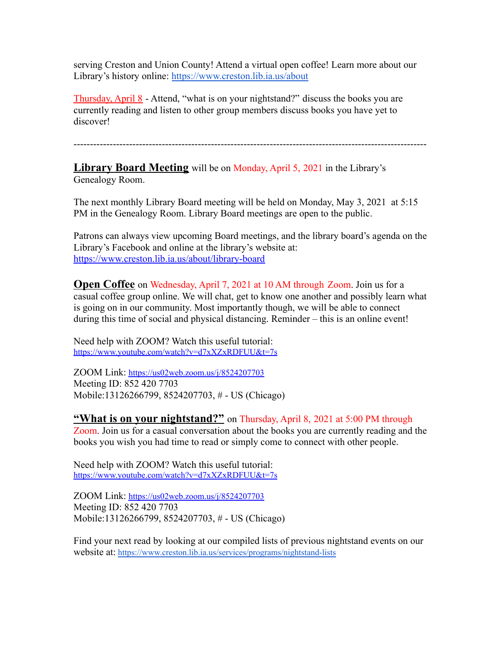serving Creston and Union County! Attend a virtual open coffee! Learn more about our Library's history online: <https://www.creston.lib.ia.us/about>

Thursday, April 8 - Attend, "what is on your nightstand?" discuss the books you are currently reading and listen to other group members discuss books you have yet to discover!

------------------------------------------------------------------------------------------------------------

**Library Board Meeting** will be on Monday, April 5, 2021 in the Library's Genealogy Room.

The next monthly Library Board meeting will be held on Monday, May 3, 2021 at 5:15 PM in the Genealogy Room. Library Board meetings are open to the public.

Patrons can always view upcoming Board meetings, and the library board's agenda on the Library's Facebook and online at the library's website at: <https://www.creston.lib.ia.us/about/library-board>

**Open Coffee** on Wednesday, April 7, 2021 at 10 AM through Zoom. Join us for a casual coffee group online. We will chat, get to know one another and possibly learn what is going on in our community. Most importantly though, we will be able to connect during this time of social and physical distancing. Reminder – this is an online event!

Need help with ZOOM? Watch this useful tutorial: <https://www.youtube.com/watch?v=d7xXZxRDFUU&t=7s>

ZOOM Link: <https://us02web.zoom.us/j/8524207703> Meeting ID: 852 420 7703 Mobile:13126266799, 8524207703, # - US (Chicago)

#### **"What is on your nightstand?"** on Thursday, April 8, 2021 at 5:00 PM through

Zoom. Join us for a casual conversation about the books you are currently reading and the books you wish you had time to read or simply come to connect with other people.

Need help with ZOOM? Watch this useful tutorial: <https://www.youtube.com/watch?v=d7xXZxRDFUU&t=7s>

ZOOM Link: <https://us02web.zoom.us/j/8524207703> Meeting ID: 852 420 7703 Mobile:13126266799, 8524207703, # - US (Chicago)

Find your next read by looking at our compiled lists of previous nightstand events on our website at: <https://www.creston.lib.ia.us/services/programs/nightstand-lists>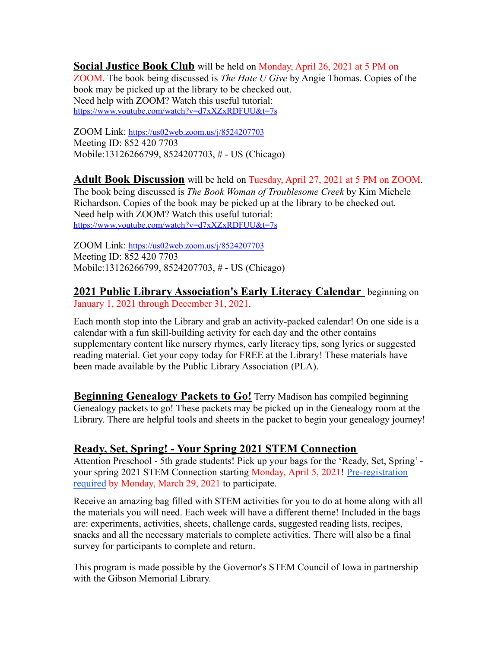**Social Justice Book Club** will be held on Monday, April 26, 2021 at 5 PM on ZOOM. The book being discussed is *The Hate U Give* by Angie Thomas. Copies of the book may be picked up at the library to be checked out. Need help with ZOOM? Watch this useful tutorial: <https://www.youtube.com/watch?v=d7xXZxRDFUU&t=7s>

ZOOM Link: <https://us02web.zoom.us/j/8524207703> Meeting ID: 852 420 7703 Mobile:13126266799, 8524207703, # - US (Chicago)

**Adult Book Discussion** will be held on Tuesday, April 27, 2021 at 5 PM on ZOOM. The book being discussed is *The Book Woman of Troublesome Creek* by Kim Michele Richardson. Copies of the book may be picked up at the library to be checked out. Need help with ZOOM? Watch this useful tutorial: <https://www.youtube.com/watch?v=d7xXZxRDFUU&t=7s>

ZOOM Link: <https://us02web.zoom.us/j/8524207703> Meeting ID: 852 420 7703 Mobile:13126266799, 8524207703, # - US (Chicago)

**2021 Public Library Association's Early Literacy Calendar** beginning on January 1, 2021 through December 31, 2021.

Each month stop into the Library and grab an activity-packed calendar! On one side is a calendar with a fun skill-building activity for each day and the other contains supplementary content like nursery rhymes, early literacy tips, song lyrics or suggested reading material. Get your copy today for FREE at the Library! These materials have been made available by the Public Library Association (PLA).

**Beginning Genealogy Packets to Go!** Terry Madison has compiled beginning Genealogy packets to go! These packets may be picked up in the Genealogy room at the Library. There are helpful tools and sheets in the packet to begin your genealogy journey!

#### **Ready, Set, Spring! - Your Spring 2021 STEM Connection**

Attention Preschool - 5th grade students! Pick up your bags for the 'Ready, Set, Spring' your spring 2021 STEM Connection starting Monday, April 5, 2021! [Pre-registration](https://www.creston.lib.ia.us/application/files/3016/1350/7682/Spring_Stem_Connection_Form.pdf) [required](https://www.creston.lib.ia.us/application/files/3016/1350/7682/Spring_Stem_Connection_Form.pdf) by Monday, March 29, 2021 to participate.

Receive an amazing bag filled with STEM activities for you to do at home along with all the materials you will need. Each week will have a different theme! Included in the bags are: experiments, activities, sheets, challenge cards, suggested reading lists, recipes, snacks and all the necessary materials to complete activities. There will also be a final survey for participants to complete and return.

This program is made possible by the Governor's STEM Council of Iowa in partnership with the Gibson Memorial Library.